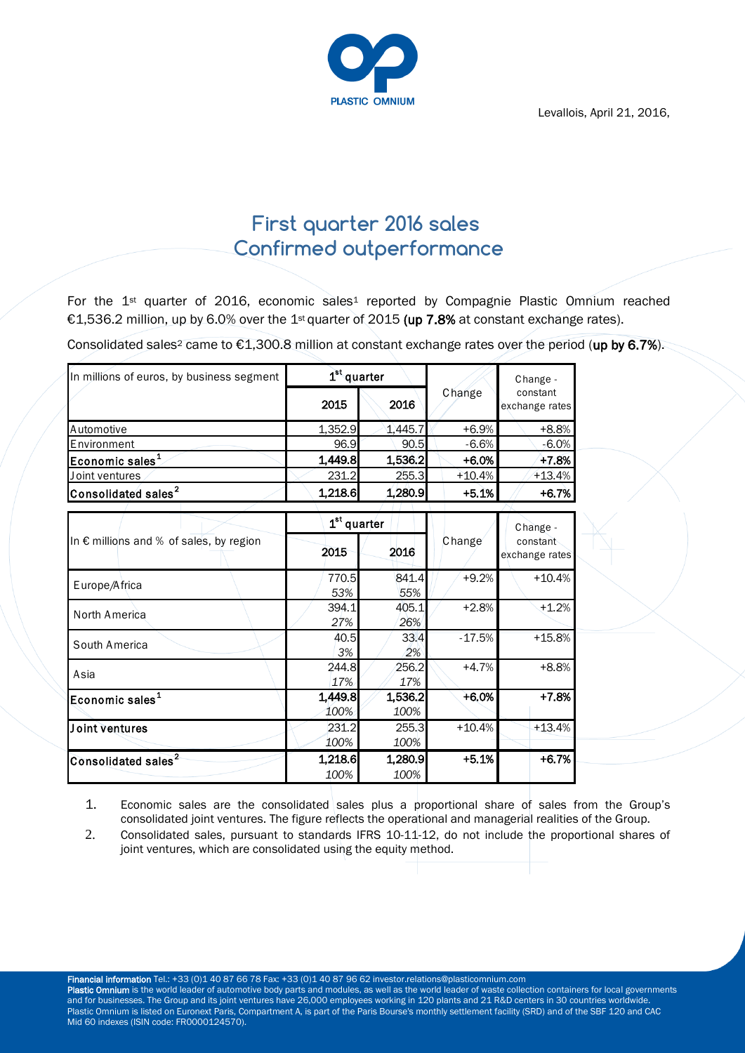Levallois, April 21, 2016,



# **First quarter 2016 sales Confirmed outperformance**

| Consolidated sales <sup>2</sup> came to $\epsilon$ 1,300.8 million at constant exchange rates over the period (up by 6.7%). |                         |         |          |                            |
|-----------------------------------------------------------------------------------------------------------------------------|-------------------------|---------|----------|----------------------------|
| In millions of euros, by business segment                                                                                   | 1 <sup>st</sup> quarter |         |          | Change -                   |
|                                                                                                                             | 2015                    | 2016    | Change   | constant<br>exchange rates |
| Automotive                                                                                                                  | 1,352.9                 | 1,445.7 | $+6.9%$  | $+8.8%$                    |
| Environment                                                                                                                 | 96.9                    | 90.5    | $-6.6%$  | $-6.0%$                    |
| Economic sales <sup>1</sup>                                                                                                 | 1,449.8                 | 1,536.2 | $+6.0%$  | $+7.8%$                    |
| Joint ventures                                                                                                              | 231.2                   | 255.3   | $+10.4%$ | $+13.4%$                   |
| Consolidated sales <sup>2</sup>                                                                                             | 1,218.6                 | 1,280.9 | $+5.1%$  | $+6.7%$                    |
|                                                                                                                             | 1 <sup>st</sup> quarter |         |          | Change -                   |
| In € millions and % of sales, by region                                                                                     | 2015                    | 2016    | Change   | constant<br>exchange rates |

| Consolidated sales <sup>-</sup>                  | 1,218.61        | 1,280.91        | +5.1%    | +6.7%                                  |
|--------------------------------------------------|-----------------|-----------------|----------|----------------------------------------|
| In $\epsilon$ millions and % of sales, by region | $1st$ quarter   |                 | Change   | Change -<br>constant<br>exchange rates |
|                                                  | 2015            | 2016            |          |                                        |
| Europe/Africa                                    | 770.5<br>53%    | 841.4<br>55%    | $+9.2%$  | +10.4%                                 |
| North America                                    | 394.1<br>27%    | 405.1<br>26%    | $+2.8%$  | $+1.2%$                                |
| South America                                    | 40.5<br>3%      | 33.4<br>2%      | $-17.5%$ | $+15.8%$                               |
| Asia                                             | 244.8<br>17%    | 256.2<br>17%    | $+4.7%$  | +8.8%                                  |
| Economic sales $^{\mathtt{1}}$                   | 1,449.8<br>100% | 1,536.2<br>100% | $+6.0%$  | +7.8%                                  |
| Joint ventures                                   | 231.2<br>100%   | 255.3<br>100%   | $+10.4%$ | $+13.4%$                               |
| Consolidated sales <sup>2</sup>                  | 1,218.6<br>100% | 1,280.9<br>100% | $+5.1%$  | $+6.7%$                                |

1. Economic sales are the consolidated sales plus a proportional share of sales from the Group's consolidated joint ventures. The figure reflects the operational and managerial realities of the Group.

2. Consolidated sales, pursuant to standards IFRS 10-11-12, do not include the proportional shares of joint ventures, which are consolidated using the equity method.

Financial information Tel.: +33 (0)1 40 87 66 78 Fax: +33 (0)1 40 87 96 62 investor.relations@plasticomnium.com

Plastic Omnium is the world leader of automotive body parts and modules, as well as the world leader of waste collection containers for local governments and for businesses. The Group and its joint ventures have 26,000 employees working in 120 plants and 21 R&D centers in 30 countries worldwide. Plastic Omnium is listed on Euronext Paris, Compartment A, is part of the Paris Bourse's monthly settlement facility (SRD) and of the SBF 120 and CAC Mid 60 indexes (ISIN code: FR0000124570).